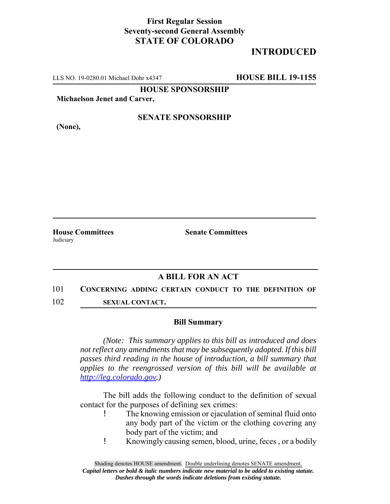## **First Regular Session Seventy-second General Assembly STATE OF COLORADO**

# **INTRODUCED**

LLS NO. 19-0280.01 Michael Dohr x4347 **HOUSE BILL 19-1155**

**HOUSE SPONSORSHIP**

**Michaelson Jenet and Carver,**

**(None),**

### **SENATE SPONSORSHIP**

**House Committees Senate Committees** Judiciary

## **A BILL FOR AN ACT**

#### 101 **CONCERNING ADDING CERTAIN CONDUCT TO THE DEFINITION OF**

102 **SEXUAL CONTACT.**

#### **Bill Summary**

*(Note: This summary applies to this bill as introduced and does not reflect any amendments that may be subsequently adopted. If this bill passes third reading in the house of introduction, a bill summary that applies to the reengrossed version of this bill will be available at http://leg.colorado.gov.)*

The bill adds the following conduct to the definition of sexual contact for the purposes of defining sex crimes:

- ! The knowing emission or ejaculation of seminal fluid onto any body part of the victim or the clothing covering any body part of the victim; and
- ! Knowingly causing semen, blood, urine, feces , or a bodily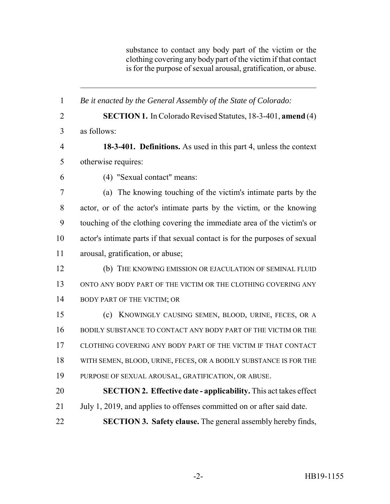substance to contact any body part of the victim or the clothing covering any body part of the victim if that contact is for the purpose of sexual arousal, gratification, or abuse.

 *Be it enacted by the General Assembly of the State of Colorado:* **SECTION 1.** In Colorado Revised Statutes, 18-3-401, **amend** (4) as follows: **18-3-401. Definitions.** As used in this part 4, unless the context otherwise requires: (4) "Sexual contact" means: (a) The knowing touching of the victim's intimate parts by the actor, or of the actor's intimate parts by the victim, or the knowing touching of the clothing covering the immediate area of the victim's or actor's intimate parts if that sexual contact is for the purposes of sexual arousal, gratification, or abuse; (b) THE KNOWING EMISSION OR EJACULATION OF SEMINAL FLUID ONTO ANY BODY PART OF THE VICTIM OR THE CLOTHING COVERING ANY 14 BODY PART OF THE VICTIM; OR (c) KNOWINGLY CAUSING SEMEN, BLOOD, URINE, FECES, OR A BODILY SUBSTANCE TO CONTACT ANY BODY PART OF THE VICTIM OR THE CLOTHING COVERING ANY BODY PART OF THE VICTIM IF THAT CONTACT WITH SEMEN, BLOOD, URINE, FECES, OR A BODILY SUBSTANCE IS FOR THE PURPOSE OF SEXUAL AROUSAL, GRATIFICATION, OR ABUSE. **SECTION 2. Effective date - applicability.** This act takes effect 21 July 1, 2019, and applies to offenses committed on or after said date. **SECTION 3. Safety clause.** The general assembly hereby finds,